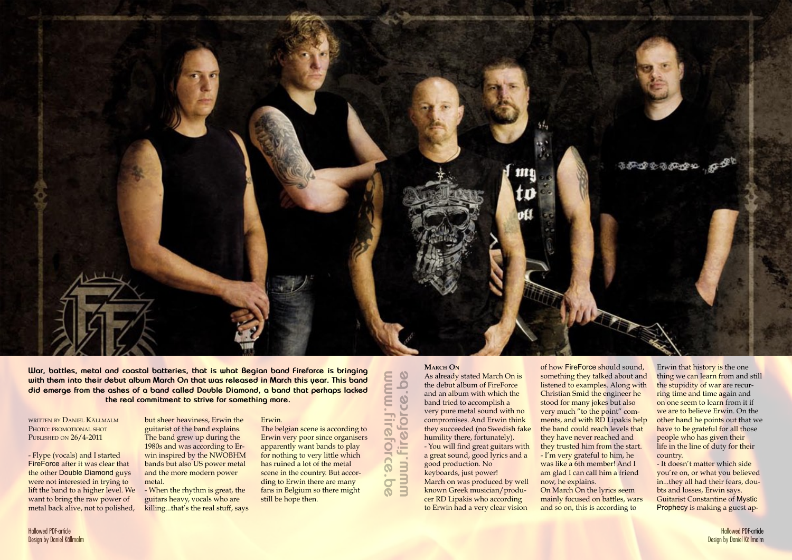written by Daniel Källmalm PHOTO: PROMOTIONAL SHOT PUBLISHED ON  $26/4-2011$ 



**War, battles, metal and coastal batteries, that is what Begian band Fireforce is bringing with them into their debut album March On that was released in March this year. This band did emerge from the ashes of a band called Double Diamond, a band that perhaps lacked the real commitment to strive for something more.**

- Flype (vocals) and I started FireForce after it was clear that the other Double Diamond guys were not interested in trying to lift the band to a higher level. We want to bring the raw power of metal back alive, not to polished,

but sheer heaviness, Erwin the guitarist of the band explains. The band grew up during the 1980s and was according to Erwin inspired by the NWOBHM bands but also US power metal and the more modern power metal.

- When the rhythm is great, the guitars heavy, vocals who are killing...that's the real stuff, says Erwin.

The belgian scene is according to Erwin very poor since organisers apparently want bands to play for nothing to very little which has ruined a lot of the metal scene in the country. But according to Erwin there are many fans in Belgium so there might still be hope then.

www.fireforce.be www.fireforce.be **www.fireforce.bewww.fireforce.be**

## **MARCH ON**

As already stated March On is the debut album of FireForce and an album with which the band tried to accomplish a very pure metal sound with no compromises. And Erwin think they succeeded (no Swedish fake humility there, fortunately). - You will find great guitars with a great sound, good lyrics and a

good production. No keyboards, just power!

March on was produced by well known Greek musician/producer RD Lipakis who according to Erwin had a very clear vision

of how FireForce should sound, something they talked about and listened to examples. Along with Christian Smid the engineer he stood for many jokes but also very much "to the point" comments, and with RD Lipakis help the band could reach levels that they have never reached and they trusted him from the start. - I'm very grateful to him, he was like a 6th member! And I am glad I can call him a friend now, he explains. On March On the lyrics seem mainly focused on battles, wars and so on, this is according to

Erwin that history is the one thing we can learn from and still the stupidity of war are recurring time and time again and on one seem to learn from it if we are to believe Erwin. On the other hand he points out that we have to be grateful for all those people who has given their life in the line of duty for their country.

- It doesn't matter which side you're on, or what you believed in...they all had their fears, doubts and losses, Erwin says. Guitarist Constantine of Mystic Prophecy is making a guest ap-